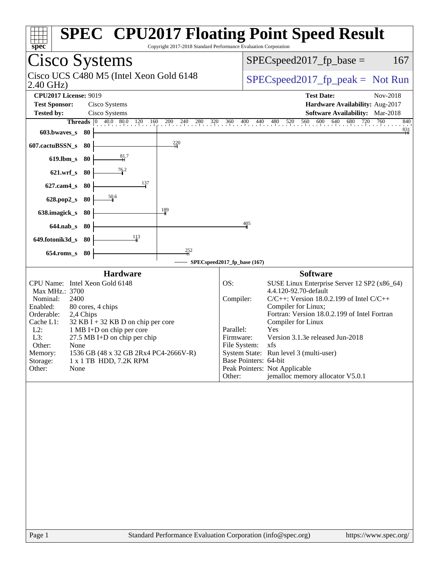| spec<br>Copyright 2017-2018 Standard Performance Evaluation Corporation                                                                                                                                                                                                                                                                                                                                                                                                                                                                 | <b>SPEC<sup>®</sup> CPU2017 Floating Point Speed Result</b>                                                                                                                                                                                                                                                                                                                                                                                                                                           |
|-----------------------------------------------------------------------------------------------------------------------------------------------------------------------------------------------------------------------------------------------------------------------------------------------------------------------------------------------------------------------------------------------------------------------------------------------------------------------------------------------------------------------------------------|-------------------------------------------------------------------------------------------------------------------------------------------------------------------------------------------------------------------------------------------------------------------------------------------------------------------------------------------------------------------------------------------------------------------------------------------------------------------------------------------------------|
| Cisco Systems                                                                                                                                                                                                                                                                                                                                                                                                                                                                                                                           | $SPEC speed2017fp base =$<br>167                                                                                                                                                                                                                                                                                                                                                                                                                                                                      |
| Cisco UCS C480 M5 (Intel Xeon Gold 6148<br>2.40 GHz)                                                                                                                                                                                                                                                                                                                                                                                                                                                                                    | $SPEC speed2017_fp\_peak = Not Run$                                                                                                                                                                                                                                                                                                                                                                                                                                                                   |
| <b>CPU2017 License: 9019</b><br><b>Test Sponsor:</b><br>Cisco Systems<br>Cisco Systems<br><b>Tested by:</b><br><b>Threads</b> $\begin{bmatrix} 0 & 40.0 & 80.0 & 120 & 160 \\ 1 & 1 & 1 & 1 & 1 \end{bmatrix}$<br>$200 \t 240$<br>$\frac{280}{1}$ 320<br>603.bwaves_s<br>- 80<br>$\frac{220}{4}$<br>607.cactuBSSN_s<br>80<br>$\frac{81}{1}$<br>$619$ .lbm_s<br>80<br>76.2<br>$621.wrf$ <sub>S</sub><br>80<br>137<br>$627$ .cam $4_s$<br>80<br>50.6<br>628.pop2_s<br>-80<br>$\frac{189}{ }$<br>638.imagick_s<br>80<br>$644$ .nab_s<br>80 | <b>Test Date:</b><br>Nov-2018<br>Hardware Availability: Aug-2017<br><b>Software Availability:</b> Mar-2018<br>$480$ $520$ $560$ $600$<br>360<br>640 680 720<br>760<br>$400$ $440$<br>840<br>$\frac{831}{ }$<br>405                                                                                                                                                                                                                                                                                    |
| $\frac{113}{1}$<br>649.fotonik3d_s<br>-80                                                                                                                                                                                                                                                                                                                                                                                                                                                                                               |                                                                                                                                                                                                                                                                                                                                                                                                                                                                                                       |
| $\frac{252}{4}$<br>80<br>$654$ .roms s                                                                                                                                                                                                                                                                                                                                                                                                                                                                                                  | SPECspeed2017_fp_base (167)                                                                                                                                                                                                                                                                                                                                                                                                                                                                           |
| <b>Hardware</b><br>CPU Name: Intel Xeon Gold 6148<br>Max MHz.: 3700<br>Nominal:<br>2400<br>Enabled:<br>80 cores, 4 chips<br>Orderable:<br>2,4 Chips<br>Cache L1:<br>$32$ KB I + 32 KB D on chip per core<br>$L2$ :<br>1 MB I+D on chip per core<br>L3:<br>27.5 MB I+D on chip per chip<br>Other:<br>None<br>1536 GB (48 x 32 GB 2Rx4 PC4-2666V-R)<br>Memory:<br>Storage:<br>1 x 1 TB HDD, 7.2K RPM<br>Other:<br>None                                                                                                                    | <b>Software</b><br>SUSE Linux Enterprise Server 12 SP2 (x86_64)<br>OS:<br>4.4.120-92.70-default<br>$C/C++$ : Version 18.0.2.199 of Intel $C/C++$<br>Compiler:<br>Compiler for Linux;<br>Fortran: Version 18.0.2.199 of Intel Fortran<br>Compiler for Linux<br>Parallel:<br>Yes<br>Version 3.1.3e released Jun-2018<br>Firmware:<br>File System: xfs<br>System State: Run level 3 (multi-user)<br>Base Pointers: 64-bit<br>Peak Pointers: Not Applicable<br>jemalloc memory allocator V5.0.1<br>Other: |
|                                                                                                                                                                                                                                                                                                                                                                                                                                                                                                                                         |                                                                                                                                                                                                                                                                                                                                                                                                                                                                                                       |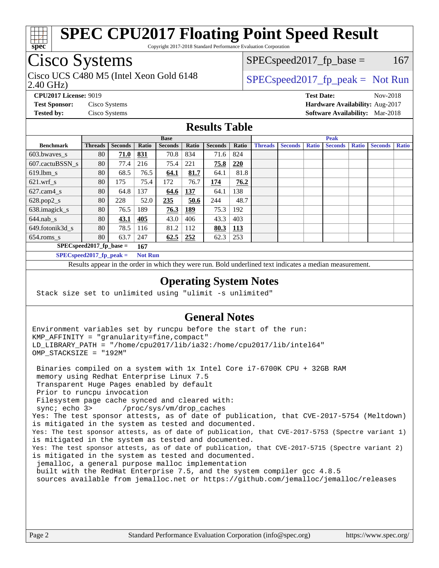

Copyright 2017-2018 Standard Performance Evaluation Corporation

## Cisco Systems

2.40 GHz) Cisco UCS C480 M5 (Intel Xeon Gold 6148  $\vert$  [SPECspeed2017\\_fp\\_peak =](http://www.spec.org/auto/cpu2017/Docs/result-fields.html#SPECspeed2017fppeak) Not Run

 $SPEC speed2017_fp\_base = 167$ 

**[CPU2017 License:](http://www.spec.org/auto/cpu2017/Docs/result-fields.html#CPU2017License)** 9019 **[Test Date:](http://www.spec.org/auto/cpu2017/Docs/result-fields.html#TestDate)** Nov-2018 **[Test Sponsor:](http://www.spec.org/auto/cpu2017/Docs/result-fields.html#TestSponsor)** Cisco Systems **[Hardware Availability:](http://www.spec.org/auto/cpu2017/Docs/result-fields.html#HardwareAvailability)** Aug-2017 **[Tested by:](http://www.spec.org/auto/cpu2017/Docs/result-fields.html#Testedby)** Cisco Systems **[Software Availability:](http://www.spec.org/auto/cpu2017/Docs/result-fields.html#SoftwareAvailability)** Mar-2018

#### **[Results Table](http://www.spec.org/auto/cpu2017/Docs/result-fields.html#ResultsTable)**

|                                   | <b>Base</b>    |                |            |                | <b>Peak</b> |                |            |                |                |              |                |              |                |              |
|-----------------------------------|----------------|----------------|------------|----------------|-------------|----------------|------------|----------------|----------------|--------------|----------------|--------------|----------------|--------------|
| <b>Benchmark</b>                  | <b>Threads</b> | <b>Seconds</b> | Ratio      | <b>Seconds</b> | Ratio       | <b>Seconds</b> | Ratio      | <b>Threads</b> | <b>Seconds</b> | <b>Ratio</b> | <b>Seconds</b> | <b>Ratio</b> | <b>Seconds</b> | <b>Ratio</b> |
| $603.bwaves$ s                    | 80             | 71.0           | 831        | 70.8           | 834         | 71.6           | 824        |                |                |              |                |              |                |              |
| 607.cactuBSSN s                   | 80             | 77.4           | 216        | 75.4           | 221         | 75.8           | 220        |                |                |              |                |              |                |              |
| $619.$ lbm_s                      | 80             | 68.5           | 76.5       | 64.1           | 81.7        | 64.1           | 81.8       |                |                |              |                |              |                |              |
| $621.wrf$ s                       | 80             | 175            | 75.4       | 172            | 76.7        | 174            | 76.2       |                |                |              |                |              |                |              |
| $627$ .cam $4 \text{ s}$          | 80             | 64.8           | 137        | 64.6           | <u>137</u>  | 64.1           | 138        |                |                |              |                |              |                |              |
| $628.pop2_s$                      | 80             | 228            | 52.0       | 235            | 50.6        | 244            | 48.7       |                |                |              |                |              |                |              |
| 638.imagick_s                     | 80             | 76.5           | 189        | 76.3           | 189         | 75.3           | 192        |                |                |              |                |              |                |              |
| $644$ .nab s                      | 80             | 43.1           | <u>405</u> | 43.0           | 406         | 43.3           | 403        |                |                |              |                |              |                |              |
| 649.fotonik3d s                   | 80             | 78.5           | 116        | 81.2           | 112         | 80.3           | <u>113</u> |                |                |              |                |              |                |              |
| $654$ .roms s                     | 80             | 63.7           | 247        | 62.5           | 252         | 62.3           | 253        |                |                |              |                |              |                |              |
| $SPEC speed2017$ fp base =<br>167 |                |                |            |                |             |                |            |                |                |              |                |              |                |              |
| $SPECspeed2017_fp\_peak =$        |                |                |            | <b>Not Run</b> |             |                |            |                |                |              |                |              |                |              |

Results appear in the [order in which they were run.](http://www.spec.org/auto/cpu2017/Docs/result-fields.html#RunOrder) Bold underlined text [indicates a median measurement](http://www.spec.org/auto/cpu2017/Docs/result-fields.html#Median).

#### **[Operating System Notes](http://www.spec.org/auto/cpu2017/Docs/result-fields.html#OperatingSystemNotes)**

Stack size set to unlimited using "ulimit -s unlimited"

#### **[General Notes](http://www.spec.org/auto/cpu2017/Docs/result-fields.html#GeneralNotes)**

Environment variables set by runcpu before the start of the run: KMP\_AFFINITY = "granularity=fine,compact" LD\_LIBRARY\_PATH = "/home/cpu2017/lib/ia32:/home/cpu2017/lib/intel64" OMP\_STACKSIZE = "192M"

 Binaries compiled on a system with 1x Intel Core i7-6700K CPU + 32GB RAM memory using Redhat Enterprise Linux 7.5 Transparent Huge Pages enabled by default Prior to runcpu invocation Filesystem page cache synced and cleared with: sync; echo 3> /proc/sys/vm/drop\_caches Yes: The test sponsor attests, as of date of publication, that CVE-2017-5754 (Meltdown) is mitigated in the system as tested and documented. Yes: The test sponsor attests, as of date of publication, that CVE-2017-5753 (Spectre variant 1) is mitigated in the system as tested and documented. Yes: The test sponsor attests, as of date of publication, that CVE-2017-5715 (Spectre variant 2) is mitigated in the system as tested and documented. jemalloc, a general purpose malloc implementation built with the RedHat Enterprise 7.5, and the system compiler gcc 4.8.5 sources available from jemalloc.net or<https://github.com/jemalloc/jemalloc/releases>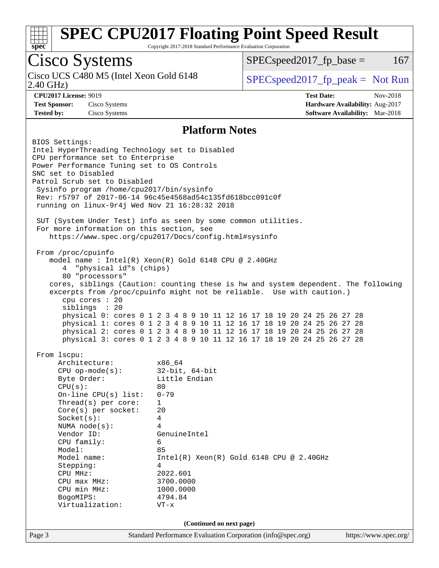

Copyright 2017-2018 Standard Performance Evaluation Corporation

### Cisco Systems

Cisco UCS C480 M5 (Intel Xeon Gold 6148<br>2.40 GHz)

 $SPEC speed2017<sub>fp</sub> base =  $167$$ 

 $SPEC speed2017_fp\_peak = Not Run$ 

**[CPU2017 License:](http://www.spec.org/auto/cpu2017/Docs/result-fields.html#CPU2017License)** 9019 **[Test Date:](http://www.spec.org/auto/cpu2017/Docs/result-fields.html#TestDate)** Nov-2018 **[Test Sponsor:](http://www.spec.org/auto/cpu2017/Docs/result-fields.html#TestSponsor)** Cisco Systems **[Hardware Availability:](http://www.spec.org/auto/cpu2017/Docs/result-fields.html#HardwareAvailability)** Aug-2017 **[Tested by:](http://www.spec.org/auto/cpu2017/Docs/result-fields.html#Testedby)** Cisco Systems **[Software Availability:](http://www.spec.org/auto/cpu2017/Docs/result-fields.html#SoftwareAvailability)** Mar-2018

#### **[Platform Notes](http://www.spec.org/auto/cpu2017/Docs/result-fields.html#PlatformNotes)**

Page 3 Standard Performance Evaluation Corporation [\(info@spec.org\)](mailto:info@spec.org) <https://www.spec.org/> BIOS Settings: Intel HyperThreading Technology set to Disabled CPU performance set to Enterprise Power Performance Tuning set to OS Controls SNC set to Disabled Patrol Scrub set to Disabled Sysinfo program /home/cpu2017/bin/sysinfo Rev: r5797 of 2017-06-14 96c45e4568ad54c135fd618bcc091c0f running on linux-9r4j Wed Nov 21 16:28:32 2018 SUT (System Under Test) info as seen by some common utilities. For more information on this section, see <https://www.spec.org/cpu2017/Docs/config.html#sysinfo> From /proc/cpuinfo model name : Intel(R) Xeon(R) Gold 6148 CPU @ 2.40GHz 4 "physical id"s (chips) 80 "processors" cores, siblings (Caution: counting these is hw and system dependent. The following excerpts from /proc/cpuinfo might not be reliable. Use with caution.) cpu cores : 20 siblings : 20 physical 0: cores 0 1 2 3 4 8 9 10 11 12 16 17 18 19 20 24 25 26 27 28 physical 1: cores 0 1 2 3 4 8 9 10 11 12 16 17 18 19 20 24 25 26 27 28 physical 2: cores 0 1 2 3 4 8 9 10 11 12 16 17 18 19 20 24 25 26 27 28 physical 3: cores 0 1 2 3 4 8 9 10 11 12 16 17 18 19 20 24 25 26 27 28 From lscpu: Architecture: x86\_64 CPU op-mode(s): 32-bit, 64-bit Byte Order: Little Endian  $CPU(s):$  80 On-line CPU(s) list: 0-79 Thread(s) per core: 1 Core(s) per socket: 20 Socket(s): 4 NUMA node(s): 4 Vendor ID: GenuineIntel CPU family: 6 Model: 85 Model name: Intel(R) Xeon(R) Gold 6148 CPU @ 2.40GHz Stepping: 4 CPU MHz: 2022.601<br>CPU max MHz: 3700.0000  $CPU$  max  $MHz:$  CPU min MHz: 1000.0000 BogoMIPS: 4794.84 Virtualization: VT-x **(Continued on next page)**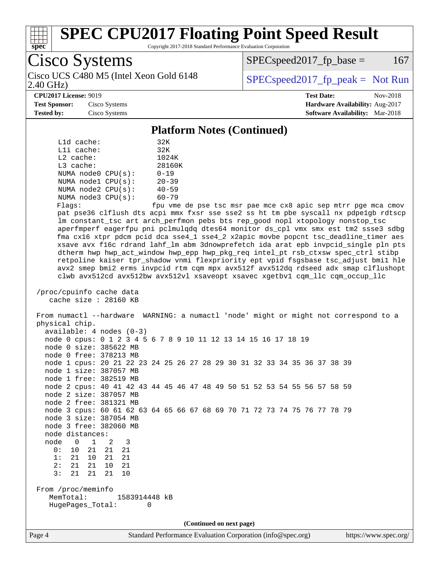

Copyright 2017-2018 Standard Performance Evaluation Corporation

Cisco Systems Cisco UCS C480 M5 (Intel Xeon Gold 6148  $\vert$  [SPECspeed2017\\_fp\\_peak =](http://www.spec.org/auto/cpu2017/Docs/result-fields.html#SPECspeed2017fppeak) Not Run

 $SPEC speed2017<sub>fp</sub> base =  $167$$ 

2.40 GHz)

**[CPU2017 License:](http://www.spec.org/auto/cpu2017/Docs/result-fields.html#CPU2017License)** 9019 **[Test Date:](http://www.spec.org/auto/cpu2017/Docs/result-fields.html#TestDate)** Nov-2018 **[Test Sponsor:](http://www.spec.org/auto/cpu2017/Docs/result-fields.html#TestSponsor)** Cisco Systems **[Hardware Availability:](http://www.spec.org/auto/cpu2017/Docs/result-fields.html#HardwareAvailability)** Aug-2017 **[Tested by:](http://www.spec.org/auto/cpu2017/Docs/result-fields.html#Testedby)** Cisco Systems **[Software Availability:](http://www.spec.org/auto/cpu2017/Docs/result-fields.html#SoftwareAvailability)** Mar-2018

#### **[Platform Notes \(Continued\)](http://www.spec.org/auto/cpu2017/Docs/result-fields.html#PlatformNotes)**

| $L1d$ cache:            | 32K                      |
|-------------------------|--------------------------|
| $L1i$ cache:            | 32K                      |
| $L2$ cache:             | 1024K                    |
| $L3$ cache:             | 28160K                   |
| NUMA $node0$ $CPU(s)$ : | $0 - 19$                 |
| NUMA nodel CPU(s):      | $20 - 39$                |
| NUMA $node2$ $CPU(s)$ : | $40 - 59$                |
| NUMA node3 CPU(s):      | $60 - 79$                |
|                         | $\overline{\phantom{0}}$ |

Flags: fpu vme de pse tsc msr pae mce cx8 apic sep mtrr pge mca cmov pat pse36 clflush dts acpi mmx fxsr sse sse2 ss ht tm pbe syscall nx pdpe1gb rdtscp lm constant\_tsc art arch\_perfmon pebs bts rep\_good nopl xtopology nonstop\_tsc aperfmperf eagerfpu pni pclmulqdq dtes64 monitor ds\_cpl vmx smx est tm2 ssse3 sdbg fma cx16 xtpr pdcm pcid dca sse4\_1 sse4\_2 x2apic movbe popcnt tsc\_deadline\_timer aes xsave avx f16c rdrand lahf\_lm abm 3dnowprefetch ida arat epb invpcid\_single pln pts dtherm hwp hwp\_act\_window hwp\_epp hwp\_pkg\_req intel\_pt rsb\_ctxsw spec\_ctrl stibp retpoline kaiser tpr\_shadow vnmi flexpriority ept vpid fsgsbase tsc\_adjust bmi1 hle avx2 smep bmi2 erms invpcid rtm cqm mpx avx512f avx512dq rdseed adx smap clflushopt clwb avx512cd avx512bw avx512vl xsaveopt xsavec xgetbv1 cqm\_llc cqm\_occup\_llc

 /proc/cpuinfo cache data cache size : 28160 KB

 From numactl --hardware WARNING: a numactl 'node' might or might not correspond to a physical chip. available: 4 nodes (0-3) node 0 cpus: 0 1 2 3 4 5 6 7 8 9 10 11 12 13 14 15 16 17 18 19 node 0 size: 385622 MB node 0 free: 378213 MB node 1 cpus: 20 21 22 23 24 25 26 27 28 29 30 31 32 33 34 35 36 37 38 39 node 1 size: 387057 MB node 1 free: 382519 MB node 2 cpus: 40 41 42 43 44 45 46 47 48 49 50 51 52 53 54 55 56 57 58 59 node 2 size: 387057 MB node 2 free: 381321 MB node 3 cpus: 60 61 62 63 64 65 66 67 68 69 70 71 72 73 74 75 76 77 78 79 node 3 size: 387054 MB node 3 free: 382060 MB node distances: node 0 1 2 3<br>0: 10 21 21 21 0: 10 21 21 21 1: 21 10 21 21 2: 21 21 10 21 3: 21 21 21 10 From /proc/meminfo MemTotal: 1583914448 kB

HugePages\_Total: 0

**(Continued on next page)**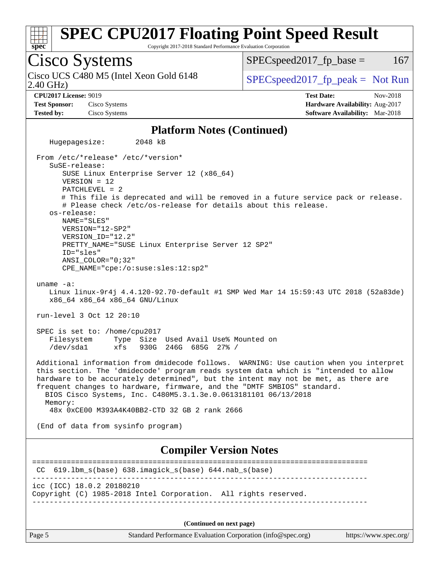

Copyright 2017-2018 Standard Performance Evaluation Corporation

Cisco Systems 2.40 GHz) Cisco UCS C480 M5 (Intel Xeon Gold 6148  $\vert$  [SPECspeed2017\\_fp\\_peak =](http://www.spec.org/auto/cpu2017/Docs/result-fields.html#SPECspeed2017fppeak) Not Run  $SPEC speed2017<sub>fp</sub> base =  $167$$ **[CPU2017 License:](http://www.spec.org/auto/cpu2017/Docs/result-fields.html#CPU2017License)** 9019 **[Test Date:](http://www.spec.org/auto/cpu2017/Docs/result-fields.html#TestDate)** Nov-2018 **[Test Sponsor:](http://www.spec.org/auto/cpu2017/Docs/result-fields.html#TestSponsor)** Cisco Systems **[Hardware Availability:](http://www.spec.org/auto/cpu2017/Docs/result-fields.html#HardwareAvailability)** Aug-2017 **[Tested by:](http://www.spec.org/auto/cpu2017/Docs/result-fields.html#Testedby)** Cisco Systems **[Software Availability:](http://www.spec.org/auto/cpu2017/Docs/result-fields.html#SoftwareAvailability)** Mar-2018 **[Platform Notes \(Continued\)](http://www.spec.org/auto/cpu2017/Docs/result-fields.html#PlatformNotes)** Hugepagesize: 2048 kB From /etc/\*release\* /etc/\*version\* SuSE-release: SUSE Linux Enterprise Server 12 (x86\_64) VERSION = 12 PATCHLEVEL = 2 # This file is deprecated and will be removed in a future service pack or release. # Please check /etc/os-release for details about this release. os-release: NAME="SLES" VERSION="12-SP2" VERSION\_ID="12.2" PRETTY\_NAME="SUSE Linux Enterprise Server 12 SP2" ID="sles" ANSI\_COLOR="0;32" CPE\_NAME="cpe:/o:suse:sles:12:sp2" uname -a: Linux linux-9r4j 4.4.120-92.70-default #1 SMP Wed Mar 14 15:59:43 UTC 2018 (52a83de) x86\_64 x86\_64 x86\_64 GNU/Linux run-level 3 Oct 12 20:10 SPEC is set to: /home/cpu2017 Filesystem Type Size Used Avail Use% Mounted on /dev/sda1 xfs 930G 246G 685G 27% / Additional information from dmidecode follows. WARNING: Use caution when you interpret this section. The 'dmidecode' program reads system data which is "intended to allow hardware to be accurately determined", but the intent may not be met, as there are frequent changes to hardware, firmware, and the "DMTF SMBIOS" standard. BIOS Cisco Systems, Inc. C480M5.3.1.3e.0.0613181101 06/13/2018 Memory: 48x 0xCE00 M393A4K40BB2-CTD 32 GB 2 rank 2666 (End of data from sysinfo program) **[Compiler Version Notes](http://www.spec.org/auto/cpu2017/Docs/result-fields.html#CompilerVersionNotes)** ============================================================================== CC 619.lbm\_s(base) 638.imagick\_s(base) 644.nab\_s(base) ----------------------------------------------------------------------------- icc (ICC) 18.0.2 20180210 Copyright (C) 1985-2018 Intel Corporation. All rights reserved. ------------------------------------------------------------------------------

**(Continued on next page)**

Page 5 Standard Performance Evaluation Corporation [\(info@spec.org\)](mailto:info@spec.org) <https://www.spec.org/>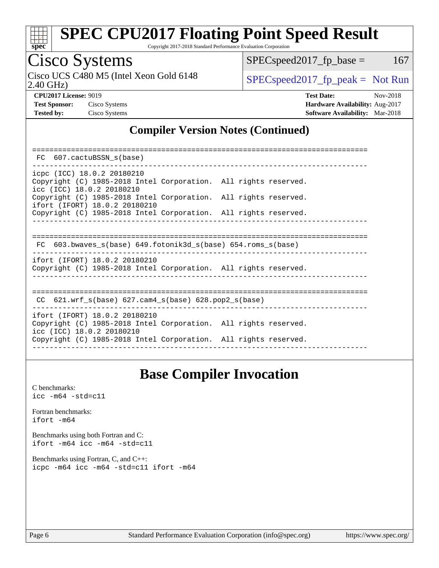

Copyright 2017-2018 Standard Performance Evaluation Corporation

## Cisco Systems

2.40 GHz) Cisco UCS C480 M5 (Intel Xeon Gold 6148  $\vert$  [SPECspeed2017\\_fp\\_peak =](http://www.spec.org/auto/cpu2017/Docs/result-fields.html#SPECspeed2017fppeak) Not Run

 $SPEC speed2017_fp\_base = 167$ 

**[CPU2017 License:](http://www.spec.org/auto/cpu2017/Docs/result-fields.html#CPU2017License)** 9019 **[Test Date:](http://www.spec.org/auto/cpu2017/Docs/result-fields.html#TestDate)** Nov-2018 **[Test Sponsor:](http://www.spec.org/auto/cpu2017/Docs/result-fields.html#TestSponsor)** Cisco Systems **[Hardware Availability:](http://www.spec.org/auto/cpu2017/Docs/result-fields.html#HardwareAvailability)** Aug-2017 **[Tested by:](http://www.spec.org/auto/cpu2017/Docs/result-fields.html#Testedby)** Cisco Systems **[Software Availability:](http://www.spec.org/auto/cpu2017/Docs/result-fields.html#SoftwareAvailability)** Mar-2018

#### **[Compiler Version Notes \(Continued\)](http://www.spec.org/auto/cpu2017/Docs/result-fields.html#CompilerVersionNotes)**

| FC 607.cactuBSSN s(base)                                                                                                      |  |  |  |  |  |  |  |
|-------------------------------------------------------------------------------------------------------------------------------|--|--|--|--|--|--|--|
| icpc (ICC) 18.0.2 20180210<br>Copyright (C) 1985-2018 Intel Corporation. All rights reserved.<br>icc (ICC) 18.0.2 20180210    |  |  |  |  |  |  |  |
| Copyright (C) 1985-2018 Intel Corporation. All rights reserved.<br>ifort (IFORT) 18.0.2 20180210                              |  |  |  |  |  |  |  |
| Copyright (C) 1985-2018 Intel Corporation. All rights reserved.                                                               |  |  |  |  |  |  |  |
|                                                                                                                               |  |  |  |  |  |  |  |
| FC 603.bwaves s(base) 649.fotonik3d s(base) 654.roms s(base)                                                                  |  |  |  |  |  |  |  |
| ifort (IFORT) 18.0.2 20180210<br>Copyright (C) 1985-2018 Intel Corporation. All rights reserved.                              |  |  |  |  |  |  |  |
| CC $621.wrf$ s(base) $627.cam4$ s(base) $628.pop2$ s(base)                                                                    |  |  |  |  |  |  |  |
| ifort (IFORT) 18.0.2 20180210<br>Copyright (C) 1985-2018 Intel Corporation. All rights reserved.<br>icc (ICC) 18.0.2 20180210 |  |  |  |  |  |  |  |
| Copyright (C) 1985-2018 Intel Corporation. All rights reserved.                                                               |  |  |  |  |  |  |  |

### **[Base Compiler Invocation](http://www.spec.org/auto/cpu2017/Docs/result-fields.html#BaseCompilerInvocation)**

[C benchmarks](http://www.spec.org/auto/cpu2017/Docs/result-fields.html#Cbenchmarks): [icc -m64 -std=c11](http://www.spec.org/cpu2017/results/res2018q4/cpu2017-20181127-09980.flags.html#user_CCbase_intel_icc_64bit_c11_33ee0cdaae7deeeab2a9725423ba97205ce30f63b9926c2519791662299b76a0318f32ddfffdc46587804de3178b4f9328c46fa7c2b0cd779d7a61945c91cd35)

[Fortran benchmarks](http://www.spec.org/auto/cpu2017/Docs/result-fields.html#Fortranbenchmarks): [ifort -m64](http://www.spec.org/cpu2017/results/res2018q4/cpu2017-20181127-09980.flags.html#user_FCbase_intel_ifort_64bit_24f2bb282fbaeffd6157abe4f878425411749daecae9a33200eee2bee2fe76f3b89351d69a8130dd5949958ce389cf37ff59a95e7a40d588e8d3a57e0c3fd751)

[Benchmarks using both Fortran and C](http://www.spec.org/auto/cpu2017/Docs/result-fields.html#BenchmarksusingbothFortranandC): [ifort -m64](http://www.spec.org/cpu2017/results/res2018q4/cpu2017-20181127-09980.flags.html#user_CC_FCbase_intel_ifort_64bit_24f2bb282fbaeffd6157abe4f878425411749daecae9a33200eee2bee2fe76f3b89351d69a8130dd5949958ce389cf37ff59a95e7a40d588e8d3a57e0c3fd751) [icc -m64 -std=c11](http://www.spec.org/cpu2017/results/res2018q4/cpu2017-20181127-09980.flags.html#user_CC_FCbase_intel_icc_64bit_c11_33ee0cdaae7deeeab2a9725423ba97205ce30f63b9926c2519791662299b76a0318f32ddfffdc46587804de3178b4f9328c46fa7c2b0cd779d7a61945c91cd35)

[Benchmarks using Fortran, C, and C++:](http://www.spec.org/auto/cpu2017/Docs/result-fields.html#BenchmarksusingFortranCandCXX) [icpc -m64](http://www.spec.org/cpu2017/results/res2018q4/cpu2017-20181127-09980.flags.html#user_CC_CXX_FCbase_intel_icpc_64bit_4ecb2543ae3f1412ef961e0650ca070fec7b7afdcd6ed48761b84423119d1bf6bdf5cad15b44d48e7256388bc77273b966e5eb805aefd121eb22e9299b2ec9d9) [icc -m64 -std=c11](http://www.spec.org/cpu2017/results/res2018q4/cpu2017-20181127-09980.flags.html#user_CC_CXX_FCbase_intel_icc_64bit_c11_33ee0cdaae7deeeab2a9725423ba97205ce30f63b9926c2519791662299b76a0318f32ddfffdc46587804de3178b4f9328c46fa7c2b0cd779d7a61945c91cd35) [ifort -m64](http://www.spec.org/cpu2017/results/res2018q4/cpu2017-20181127-09980.flags.html#user_CC_CXX_FCbase_intel_ifort_64bit_24f2bb282fbaeffd6157abe4f878425411749daecae9a33200eee2bee2fe76f3b89351d69a8130dd5949958ce389cf37ff59a95e7a40d588e8d3a57e0c3fd751)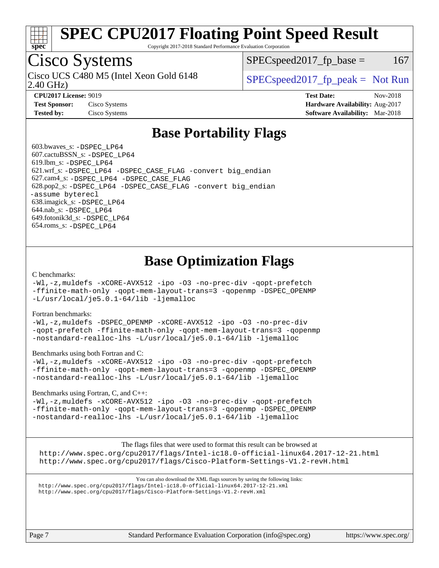

Copyright 2017-2018 Standard Performance Evaluation Corporation

## Cisco Systems

2.40 GHz) Cisco UCS C480 M5 (Intel Xeon Gold 6148  $\vert$  [SPECspeed2017\\_fp\\_peak =](http://www.spec.org/auto/cpu2017/Docs/result-fields.html#SPECspeed2017fppeak) Not Run

 $SPEC speed2017<sub>fp</sub> base =  $167$$ 

**[Test Sponsor:](http://www.spec.org/auto/cpu2017/Docs/result-fields.html#TestSponsor)** Cisco Systems **[Hardware Availability:](http://www.spec.org/auto/cpu2017/Docs/result-fields.html#HardwareAvailability)** Aug-2017

**[CPU2017 License:](http://www.spec.org/auto/cpu2017/Docs/result-fields.html#CPU2017License)** 9019 **[Test Date:](http://www.spec.org/auto/cpu2017/Docs/result-fields.html#TestDate)** Nov-2018

**[Tested by:](http://www.spec.org/auto/cpu2017/Docs/result-fields.html#Testedby)** Cisco Systems **[Software Availability:](http://www.spec.org/auto/cpu2017/Docs/result-fields.html#SoftwareAvailability)** Mar-2018

### **[Base Portability Flags](http://www.spec.org/auto/cpu2017/Docs/result-fields.html#BasePortabilityFlags)**

 603.bwaves\_s: [-DSPEC\\_LP64](http://www.spec.org/cpu2017/results/res2018q4/cpu2017-20181127-09980.flags.html#suite_basePORTABILITY603_bwaves_s_DSPEC_LP64) 607.cactuBSSN\_s: [-DSPEC\\_LP64](http://www.spec.org/cpu2017/results/res2018q4/cpu2017-20181127-09980.flags.html#suite_basePORTABILITY607_cactuBSSN_s_DSPEC_LP64) 619.lbm\_s: [-DSPEC\\_LP64](http://www.spec.org/cpu2017/results/res2018q4/cpu2017-20181127-09980.flags.html#suite_basePORTABILITY619_lbm_s_DSPEC_LP64) 621.wrf\_s: [-DSPEC\\_LP64](http://www.spec.org/cpu2017/results/res2018q4/cpu2017-20181127-09980.flags.html#suite_basePORTABILITY621_wrf_s_DSPEC_LP64) [-DSPEC\\_CASE\\_FLAG](http://www.spec.org/cpu2017/results/res2018q4/cpu2017-20181127-09980.flags.html#b621.wrf_s_baseCPORTABILITY_DSPEC_CASE_FLAG) [-convert big\\_endian](http://www.spec.org/cpu2017/results/res2018q4/cpu2017-20181127-09980.flags.html#user_baseFPORTABILITY621_wrf_s_convert_big_endian_c3194028bc08c63ac5d04de18c48ce6d347e4e562e8892b8bdbdc0214820426deb8554edfa529a3fb25a586e65a3d812c835984020483e7e73212c4d31a38223) 627.cam4\_s: [-DSPEC\\_LP64](http://www.spec.org/cpu2017/results/res2018q4/cpu2017-20181127-09980.flags.html#suite_basePORTABILITY627_cam4_s_DSPEC_LP64) [-DSPEC\\_CASE\\_FLAG](http://www.spec.org/cpu2017/results/res2018q4/cpu2017-20181127-09980.flags.html#b627.cam4_s_baseCPORTABILITY_DSPEC_CASE_FLAG) 628.pop2\_s: [-DSPEC\\_LP64](http://www.spec.org/cpu2017/results/res2018q4/cpu2017-20181127-09980.flags.html#suite_basePORTABILITY628_pop2_s_DSPEC_LP64) [-DSPEC\\_CASE\\_FLAG](http://www.spec.org/cpu2017/results/res2018q4/cpu2017-20181127-09980.flags.html#b628.pop2_s_baseCPORTABILITY_DSPEC_CASE_FLAG) [-convert big\\_endian](http://www.spec.org/cpu2017/results/res2018q4/cpu2017-20181127-09980.flags.html#user_baseFPORTABILITY628_pop2_s_convert_big_endian_c3194028bc08c63ac5d04de18c48ce6d347e4e562e8892b8bdbdc0214820426deb8554edfa529a3fb25a586e65a3d812c835984020483e7e73212c4d31a38223) [-assume byterecl](http://www.spec.org/cpu2017/results/res2018q4/cpu2017-20181127-09980.flags.html#user_baseFPORTABILITY628_pop2_s_assume_byterecl_7e47d18b9513cf18525430bbf0f2177aa9bf368bc7a059c09b2c06a34b53bd3447c950d3f8d6c70e3faf3a05c8557d66a5798b567902e8849adc142926523472) 638.imagick\_s: [-DSPEC\\_LP64](http://www.spec.org/cpu2017/results/res2018q4/cpu2017-20181127-09980.flags.html#suite_basePORTABILITY638_imagick_s_DSPEC_LP64) 644.nab\_s: [-DSPEC\\_LP64](http://www.spec.org/cpu2017/results/res2018q4/cpu2017-20181127-09980.flags.html#suite_basePORTABILITY644_nab_s_DSPEC_LP64) 649.fotonik3d\_s: [-DSPEC\\_LP64](http://www.spec.org/cpu2017/results/res2018q4/cpu2017-20181127-09980.flags.html#suite_basePORTABILITY649_fotonik3d_s_DSPEC_LP64) 654.roms\_s: [-DSPEC\\_LP64](http://www.spec.org/cpu2017/results/res2018q4/cpu2017-20181127-09980.flags.html#suite_basePORTABILITY654_roms_s_DSPEC_LP64)

### **[Base Optimization Flags](http://www.spec.org/auto/cpu2017/Docs/result-fields.html#BaseOptimizationFlags)**

#### [C benchmarks](http://www.spec.org/auto/cpu2017/Docs/result-fields.html#Cbenchmarks):

[-Wl,-z,muldefs](http://www.spec.org/cpu2017/results/res2018q4/cpu2017-20181127-09980.flags.html#user_CCbase_link_force_multiple1_b4cbdb97b34bdee9ceefcfe54f4c8ea74255f0b02a4b23e853cdb0e18eb4525ac79b5a88067c842dd0ee6996c24547a27a4b99331201badda8798ef8a743f577) [-xCORE-AVX512](http://www.spec.org/cpu2017/results/res2018q4/cpu2017-20181127-09980.flags.html#user_CCbase_f-xCORE-AVX512) [-ipo](http://www.spec.org/cpu2017/results/res2018q4/cpu2017-20181127-09980.flags.html#user_CCbase_f-ipo) [-O3](http://www.spec.org/cpu2017/results/res2018q4/cpu2017-20181127-09980.flags.html#user_CCbase_f-O3) [-no-prec-div](http://www.spec.org/cpu2017/results/res2018q4/cpu2017-20181127-09980.flags.html#user_CCbase_f-no-prec-div) [-qopt-prefetch](http://www.spec.org/cpu2017/results/res2018q4/cpu2017-20181127-09980.flags.html#user_CCbase_f-qopt-prefetch) [-ffinite-math-only](http://www.spec.org/cpu2017/results/res2018q4/cpu2017-20181127-09980.flags.html#user_CCbase_f_finite_math_only_cb91587bd2077682c4b38af759c288ed7c732db004271a9512da14a4f8007909a5f1427ecbf1a0fb78ff2a814402c6114ac565ca162485bbcae155b5e4258871) [-qopt-mem-layout-trans=3](http://www.spec.org/cpu2017/results/res2018q4/cpu2017-20181127-09980.flags.html#user_CCbase_f-qopt-mem-layout-trans_de80db37974c74b1f0e20d883f0b675c88c3b01e9d123adea9b28688d64333345fb62bc4a798493513fdb68f60282f9a726aa07f478b2f7113531aecce732043) [-qopenmp](http://www.spec.org/cpu2017/results/res2018q4/cpu2017-20181127-09980.flags.html#user_CCbase_qopenmp_16be0c44f24f464004c6784a7acb94aca937f053568ce72f94b139a11c7c168634a55f6653758ddd83bcf7b8463e8028bb0b48b77bcddc6b78d5d95bb1df2967) [-DSPEC\\_OPENMP](http://www.spec.org/cpu2017/results/res2018q4/cpu2017-20181127-09980.flags.html#suite_CCbase_DSPEC_OPENMP) [-L/usr/local/je5.0.1-64/lib](http://www.spec.org/cpu2017/results/res2018q4/cpu2017-20181127-09980.flags.html#user_CCbase_jemalloc_link_path64_4b10a636b7bce113509b17f3bd0d6226c5fb2346b9178c2d0232c14f04ab830f976640479e5c33dc2bcbbdad86ecfb6634cbbd4418746f06f368b512fced5394) [-ljemalloc](http://www.spec.org/cpu2017/results/res2018q4/cpu2017-20181127-09980.flags.html#user_CCbase_jemalloc_link_lib_d1249b907c500fa1c0672f44f562e3d0f79738ae9e3c4a9c376d49f265a04b9c99b167ecedbf6711b3085be911c67ff61f150a17b3472be731631ba4d0471706)

#### [Fortran benchmarks](http://www.spec.org/auto/cpu2017/Docs/result-fields.html#Fortranbenchmarks):

[-Wl,-z,muldefs](http://www.spec.org/cpu2017/results/res2018q4/cpu2017-20181127-09980.flags.html#user_FCbase_link_force_multiple1_b4cbdb97b34bdee9ceefcfe54f4c8ea74255f0b02a4b23e853cdb0e18eb4525ac79b5a88067c842dd0ee6996c24547a27a4b99331201badda8798ef8a743f577) [-DSPEC\\_OPENMP](http://www.spec.org/cpu2017/results/res2018q4/cpu2017-20181127-09980.flags.html#suite_FCbase_DSPEC_OPENMP) [-xCORE-AVX512](http://www.spec.org/cpu2017/results/res2018q4/cpu2017-20181127-09980.flags.html#user_FCbase_f-xCORE-AVX512) [-ipo](http://www.spec.org/cpu2017/results/res2018q4/cpu2017-20181127-09980.flags.html#user_FCbase_f-ipo) [-O3](http://www.spec.org/cpu2017/results/res2018q4/cpu2017-20181127-09980.flags.html#user_FCbase_f-O3) [-no-prec-div](http://www.spec.org/cpu2017/results/res2018q4/cpu2017-20181127-09980.flags.html#user_FCbase_f-no-prec-div) [-qopt-prefetch](http://www.spec.org/cpu2017/results/res2018q4/cpu2017-20181127-09980.flags.html#user_FCbase_f-qopt-prefetch) [-ffinite-math-only](http://www.spec.org/cpu2017/results/res2018q4/cpu2017-20181127-09980.flags.html#user_FCbase_f_finite_math_only_cb91587bd2077682c4b38af759c288ed7c732db004271a9512da14a4f8007909a5f1427ecbf1a0fb78ff2a814402c6114ac565ca162485bbcae155b5e4258871) [-qopt-mem-layout-trans=3](http://www.spec.org/cpu2017/results/res2018q4/cpu2017-20181127-09980.flags.html#user_FCbase_f-qopt-mem-layout-trans_de80db37974c74b1f0e20d883f0b675c88c3b01e9d123adea9b28688d64333345fb62bc4a798493513fdb68f60282f9a726aa07f478b2f7113531aecce732043) [-qopenmp](http://www.spec.org/cpu2017/results/res2018q4/cpu2017-20181127-09980.flags.html#user_FCbase_qopenmp_16be0c44f24f464004c6784a7acb94aca937f053568ce72f94b139a11c7c168634a55f6653758ddd83bcf7b8463e8028bb0b48b77bcddc6b78d5d95bb1df2967) [-nostandard-realloc-lhs](http://www.spec.org/cpu2017/results/res2018q4/cpu2017-20181127-09980.flags.html#user_FCbase_f_2003_std_realloc_82b4557e90729c0f113870c07e44d33d6f5a304b4f63d4c15d2d0f1fab99f5daaed73bdb9275d9ae411527f28b936061aa8b9c8f2d63842963b95c9dd6426b8a) [-L/usr/local/je5.0.1-64/lib](http://www.spec.org/cpu2017/results/res2018q4/cpu2017-20181127-09980.flags.html#user_FCbase_jemalloc_link_path64_4b10a636b7bce113509b17f3bd0d6226c5fb2346b9178c2d0232c14f04ab830f976640479e5c33dc2bcbbdad86ecfb6634cbbd4418746f06f368b512fced5394) [-ljemalloc](http://www.spec.org/cpu2017/results/res2018q4/cpu2017-20181127-09980.flags.html#user_FCbase_jemalloc_link_lib_d1249b907c500fa1c0672f44f562e3d0f79738ae9e3c4a9c376d49f265a04b9c99b167ecedbf6711b3085be911c67ff61f150a17b3472be731631ba4d0471706)

#### [Benchmarks using both Fortran and C](http://www.spec.org/auto/cpu2017/Docs/result-fields.html#BenchmarksusingbothFortranandC):

[-Wl,-z,muldefs](http://www.spec.org/cpu2017/results/res2018q4/cpu2017-20181127-09980.flags.html#user_CC_FCbase_link_force_multiple1_b4cbdb97b34bdee9ceefcfe54f4c8ea74255f0b02a4b23e853cdb0e18eb4525ac79b5a88067c842dd0ee6996c24547a27a4b99331201badda8798ef8a743f577) [-xCORE-AVX512](http://www.spec.org/cpu2017/results/res2018q4/cpu2017-20181127-09980.flags.html#user_CC_FCbase_f-xCORE-AVX512) [-ipo](http://www.spec.org/cpu2017/results/res2018q4/cpu2017-20181127-09980.flags.html#user_CC_FCbase_f-ipo) [-O3](http://www.spec.org/cpu2017/results/res2018q4/cpu2017-20181127-09980.flags.html#user_CC_FCbase_f-O3) [-no-prec-div](http://www.spec.org/cpu2017/results/res2018q4/cpu2017-20181127-09980.flags.html#user_CC_FCbase_f-no-prec-div) [-qopt-prefetch](http://www.spec.org/cpu2017/results/res2018q4/cpu2017-20181127-09980.flags.html#user_CC_FCbase_f-qopt-prefetch) [-ffinite-math-only](http://www.spec.org/cpu2017/results/res2018q4/cpu2017-20181127-09980.flags.html#user_CC_FCbase_f_finite_math_only_cb91587bd2077682c4b38af759c288ed7c732db004271a9512da14a4f8007909a5f1427ecbf1a0fb78ff2a814402c6114ac565ca162485bbcae155b5e4258871) [-qopt-mem-layout-trans=3](http://www.spec.org/cpu2017/results/res2018q4/cpu2017-20181127-09980.flags.html#user_CC_FCbase_f-qopt-mem-layout-trans_de80db37974c74b1f0e20d883f0b675c88c3b01e9d123adea9b28688d64333345fb62bc4a798493513fdb68f60282f9a726aa07f478b2f7113531aecce732043) [-qopenmp](http://www.spec.org/cpu2017/results/res2018q4/cpu2017-20181127-09980.flags.html#user_CC_FCbase_qopenmp_16be0c44f24f464004c6784a7acb94aca937f053568ce72f94b139a11c7c168634a55f6653758ddd83bcf7b8463e8028bb0b48b77bcddc6b78d5d95bb1df2967) [-DSPEC\\_OPENMP](http://www.spec.org/cpu2017/results/res2018q4/cpu2017-20181127-09980.flags.html#suite_CC_FCbase_DSPEC_OPENMP) [-nostandard-realloc-lhs](http://www.spec.org/cpu2017/results/res2018q4/cpu2017-20181127-09980.flags.html#user_CC_FCbase_f_2003_std_realloc_82b4557e90729c0f113870c07e44d33d6f5a304b4f63d4c15d2d0f1fab99f5daaed73bdb9275d9ae411527f28b936061aa8b9c8f2d63842963b95c9dd6426b8a) [-L/usr/local/je5.0.1-64/lib](http://www.spec.org/cpu2017/results/res2018q4/cpu2017-20181127-09980.flags.html#user_CC_FCbase_jemalloc_link_path64_4b10a636b7bce113509b17f3bd0d6226c5fb2346b9178c2d0232c14f04ab830f976640479e5c33dc2bcbbdad86ecfb6634cbbd4418746f06f368b512fced5394) [-ljemalloc](http://www.spec.org/cpu2017/results/res2018q4/cpu2017-20181127-09980.flags.html#user_CC_FCbase_jemalloc_link_lib_d1249b907c500fa1c0672f44f562e3d0f79738ae9e3c4a9c376d49f265a04b9c99b167ecedbf6711b3085be911c67ff61f150a17b3472be731631ba4d0471706)

#### [Benchmarks using Fortran, C, and C++:](http://www.spec.org/auto/cpu2017/Docs/result-fields.html#BenchmarksusingFortranCandCXX)

[-Wl,-z,muldefs](http://www.spec.org/cpu2017/results/res2018q4/cpu2017-20181127-09980.flags.html#user_CC_CXX_FCbase_link_force_multiple1_b4cbdb97b34bdee9ceefcfe54f4c8ea74255f0b02a4b23e853cdb0e18eb4525ac79b5a88067c842dd0ee6996c24547a27a4b99331201badda8798ef8a743f577) [-xCORE-AVX512](http://www.spec.org/cpu2017/results/res2018q4/cpu2017-20181127-09980.flags.html#user_CC_CXX_FCbase_f-xCORE-AVX512) [-ipo](http://www.spec.org/cpu2017/results/res2018q4/cpu2017-20181127-09980.flags.html#user_CC_CXX_FCbase_f-ipo) [-O3](http://www.spec.org/cpu2017/results/res2018q4/cpu2017-20181127-09980.flags.html#user_CC_CXX_FCbase_f-O3) [-no-prec-div](http://www.spec.org/cpu2017/results/res2018q4/cpu2017-20181127-09980.flags.html#user_CC_CXX_FCbase_f-no-prec-div) [-qopt-prefetch](http://www.spec.org/cpu2017/results/res2018q4/cpu2017-20181127-09980.flags.html#user_CC_CXX_FCbase_f-qopt-prefetch) [-ffinite-math-only](http://www.spec.org/cpu2017/results/res2018q4/cpu2017-20181127-09980.flags.html#user_CC_CXX_FCbase_f_finite_math_only_cb91587bd2077682c4b38af759c288ed7c732db004271a9512da14a4f8007909a5f1427ecbf1a0fb78ff2a814402c6114ac565ca162485bbcae155b5e4258871) [-qopt-mem-layout-trans=3](http://www.spec.org/cpu2017/results/res2018q4/cpu2017-20181127-09980.flags.html#user_CC_CXX_FCbase_f-qopt-mem-layout-trans_de80db37974c74b1f0e20d883f0b675c88c3b01e9d123adea9b28688d64333345fb62bc4a798493513fdb68f60282f9a726aa07f478b2f7113531aecce732043) [-qopenmp](http://www.spec.org/cpu2017/results/res2018q4/cpu2017-20181127-09980.flags.html#user_CC_CXX_FCbase_qopenmp_16be0c44f24f464004c6784a7acb94aca937f053568ce72f94b139a11c7c168634a55f6653758ddd83bcf7b8463e8028bb0b48b77bcddc6b78d5d95bb1df2967) [-DSPEC\\_OPENMP](http://www.spec.org/cpu2017/results/res2018q4/cpu2017-20181127-09980.flags.html#suite_CC_CXX_FCbase_DSPEC_OPENMP) [-nostandard-realloc-lhs](http://www.spec.org/cpu2017/results/res2018q4/cpu2017-20181127-09980.flags.html#user_CC_CXX_FCbase_f_2003_std_realloc_82b4557e90729c0f113870c07e44d33d6f5a304b4f63d4c15d2d0f1fab99f5daaed73bdb9275d9ae411527f28b936061aa8b9c8f2d63842963b95c9dd6426b8a) [-L/usr/local/je5.0.1-64/lib](http://www.spec.org/cpu2017/results/res2018q4/cpu2017-20181127-09980.flags.html#user_CC_CXX_FCbase_jemalloc_link_path64_4b10a636b7bce113509b17f3bd0d6226c5fb2346b9178c2d0232c14f04ab830f976640479e5c33dc2bcbbdad86ecfb6634cbbd4418746f06f368b512fced5394) [-ljemalloc](http://www.spec.org/cpu2017/results/res2018q4/cpu2017-20181127-09980.flags.html#user_CC_CXX_FCbase_jemalloc_link_lib_d1249b907c500fa1c0672f44f562e3d0f79738ae9e3c4a9c376d49f265a04b9c99b167ecedbf6711b3085be911c67ff61f150a17b3472be731631ba4d0471706)

The flags files that were used to format this result can be browsed at <http://www.spec.org/cpu2017/flags/Intel-ic18.0-official-linux64.2017-12-21.html> <http://www.spec.org/cpu2017/flags/Cisco-Platform-Settings-V1.2-revH.html>

You can also download the XML flags sources by saving the following links: <http://www.spec.org/cpu2017/flags/Intel-ic18.0-official-linux64.2017-12-21.xml> <http://www.spec.org/cpu2017/flags/Cisco-Platform-Settings-V1.2-revH.xml>